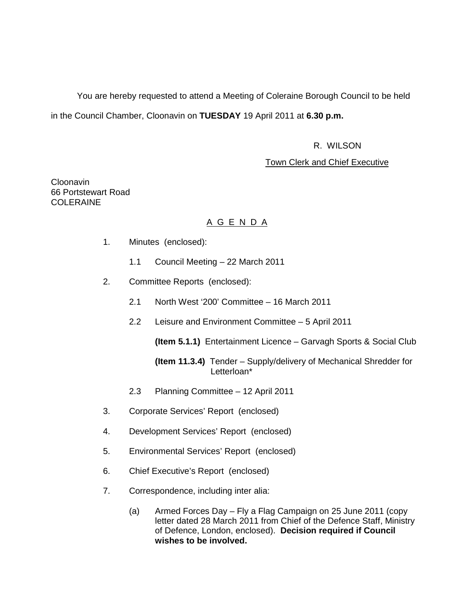You are hereby requested to attend a Meeting of Coleraine Borough Council to be held in the Council Chamber, Cloonavin on **TUESDAY** 19 April 2011 at **6.30 p.m.** 

### R. WILSON

### Town Clerk and Chief Executive

Cloonavin 66 Portstewart Road COLERAINE

## A G E N D A

- 1. Minutes (enclosed):
	- 1.1 Council Meeting 22 March 2011
- 2. Committee Reports (enclosed):
	- 2.1 North West '200' Committee 16 March 2011
	- 2.2 Leisure and Environment Committee 5 April 2011

**(Item 5.1.1)** Entertainment Licence – Garvagh Sports & Social Club

### **(Item 11.3.4)** Tender – Supply/delivery of Mechanical Shredder for Letterloan\*

- 2.3 Planning Committee 12 April 2011
- 3. Corporate Services' Report (enclosed)
- 4. Development Services' Report (enclosed)
- 5. Environmental Services' Report (enclosed)
- 6. Chief Executive's Report (enclosed)
- 7. Correspondence, including inter alia:
	- (a) Armed Forces Day Fly a Flag Campaign on 25 June 2011 (copy letter dated 28 March 2011 from Chief of the Defence Staff, Ministry of Defence, London, enclosed). **Decision required if Council wishes to be involved.**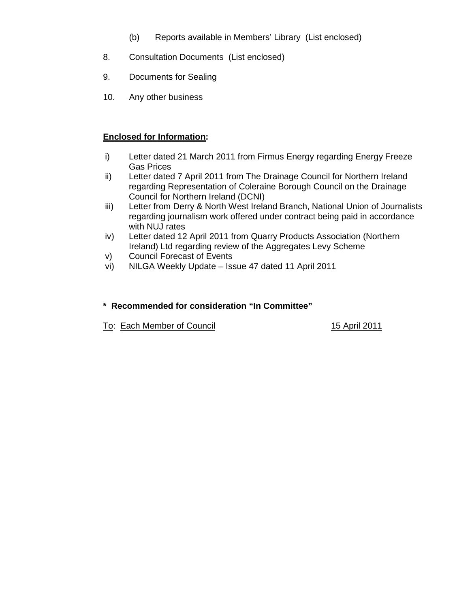- (b) Reports available in Members' Library (List enclosed)
- 8. Consultation Documents (List enclosed)
- 9. Documents for Sealing
- 10. Any other business

## **Enclosed for Information:**

- i) Letter dated 21 March 2011 from Firmus Energy regarding Energy Freeze Gas Prices
- ii) Letter dated 7 April 2011 from The Drainage Council for Northern Ireland regarding Representation of Coleraine Borough Council on the Drainage Council for Northern Ireland (DCNI)
- iii) Letter from Derry & North West Ireland Branch, National Union of Journalists regarding journalism work offered under contract being paid in accordance with NUJ rates
- iv) Letter dated 12 April 2011 from Quarry Products Association (Northern Ireland) Ltd regarding review of the Aggregates Levy Scheme
- v) Council Forecast of Events
- vi) NILGA Weekly Update Issue 47 dated 11 April 2011

## **\* Recommended for consideration "In Committee"**

To: Each Member of Council 15 April 2011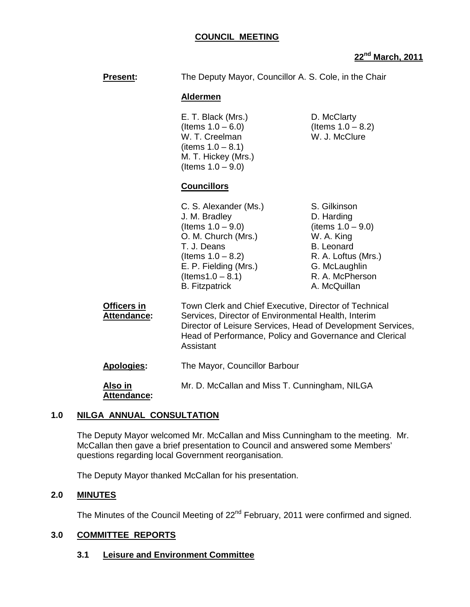**22nd March, 2011**

| <b>Present:</b>                          | The Deputy Mayor, Councillor A. S. Cole, in the Chair                                                                                                                                                                                               |                                                                                                                                                                  |
|------------------------------------------|-----------------------------------------------------------------------------------------------------------------------------------------------------------------------------------------------------------------------------------------------------|------------------------------------------------------------------------------------------------------------------------------------------------------------------|
|                                          | <b>Aldermen</b>                                                                                                                                                                                                                                     |                                                                                                                                                                  |
|                                          | E. T. Black (Mrs.)<br>(Items $1.0 - 6.0$ )<br>W. T. Creelman<br>(items $1.0 - 8.1$ )<br>M. T. Hickey (Mrs.)<br>(Items $1.0 - 9.0$ )                                                                                                                 | D. McClarty<br>(Items $1.0 - 8.2$ )<br>W. J. McClure                                                                                                             |
|                                          | <b>Councillors</b>                                                                                                                                                                                                                                  |                                                                                                                                                                  |
|                                          | C. S. Alexander (Ms.)<br>J. M. Bradley<br>(Items $1.0 - 9.0$ )<br>O. M. Church (Mrs.)<br>T. J. Deans<br>(Items $1.0 - 8.2$ )<br>E. P. Fielding (Mrs.)<br>$($ ltems1.0 – 8.1)<br><b>B.</b> Fitzpatrick                                               | S. Gilkinson<br>D. Harding<br>(items $1.0 - 9.0$ )<br>W. A. King<br><b>B.</b> Leonard<br>R. A. Loftus (Mrs.)<br>G. McLaughlin<br>R. A. McPherson<br>A. McQuillan |
| <b>Officers in</b><br><b>Attendance:</b> | Town Clerk and Chief Executive, Director of Technical<br>Services, Director of Environmental Health, Interim<br>Director of Leisure Services, Head of Development Services,<br>Head of Performance, Policy and Governance and Clerical<br>Assistant |                                                                                                                                                                  |
| <b>Apologies:</b>                        | The Mayor, Councillor Barbour                                                                                                                                                                                                                       |                                                                                                                                                                  |
| Also in                                  | Mr. D. McCallan and Miss T. Cunningham, NILGA                                                                                                                                                                                                       |                                                                                                                                                                  |

## **1.0 NILGA ANNUAL CONSULTATION**

 **Attendance:** 

The Deputy Mayor welcomed Mr. McCallan and Miss Cunningham to the meeting. Mr. McCallan then gave a brief presentation to Council and answered some Members' questions regarding local Government reorganisation.

The Deputy Mayor thanked McCallan for his presentation.

## **2.0 MINUTES**

The Minutes of the Council Meeting of 22<sup>nd</sup> February, 2011 were confirmed and signed.

## **3.0 COMMITTEE REPORTS**

## **3.1 Leisure and Environment Committee**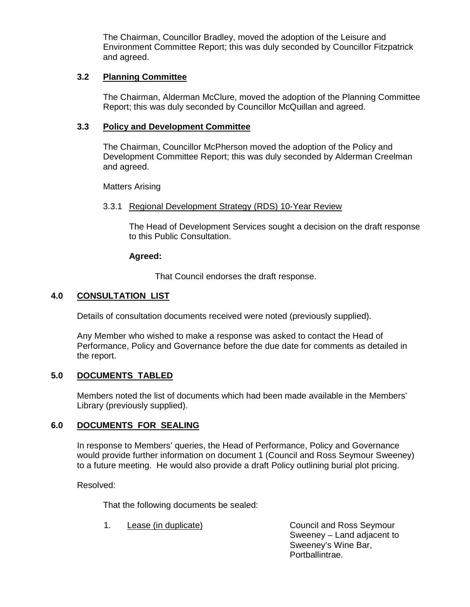The Chairman, Councillor Bradley, moved the adoption of the Leisure and Environment Committee Report; this was duly seconded by Councillor Fitzpatrick and agreed.

### **3.2 Planning Committee**

The Chairman, Alderman McClure, moved the adoption of the Planning Committee Report; this was duly seconded by Councillor McQuillan and agreed.

### **3.3 Policy and Development Committee**

 The Chairman, Councillor McPherson moved the adoption of the Policy and Development Committee Report; this was duly seconded by Alderman Creelman and agreed.

Matters Arising

#### 3.3.1 Regional Development Strategy (RDS) 10-Year Review

The Head of Development Services sought a decision on the draft response to this Public Consultation.

#### **Agreed:**

That Council endorses the draft response.

### **4.0 CONSULTATION LIST**

Details of consultation documents received were noted (previously supplied).

 Any Member who wished to make a response was asked to contact the Head of Performance, Policy and Governance before the due date for comments as detailed in the report.

### **5.0 DOCUMENTS TABLED**

 Members noted the list of documents which had been made available in the Members' Library (previously supplied).

### **6.0 DOCUMENTS FOR SEALING**

In response to Members' queries, the Head of Performance, Policy and Governance would provide further information on document 1 (Council and Ross Seymour Sweeney) to a future meeting. He would also provide a draft Policy outlining burial plot pricing.

Resolved:

That the following documents be sealed:

1. Lease (in duplicate) Council and Ross Seymour Sweeney – Land adjacent to Sweeney's Wine Bar, Portballintrae.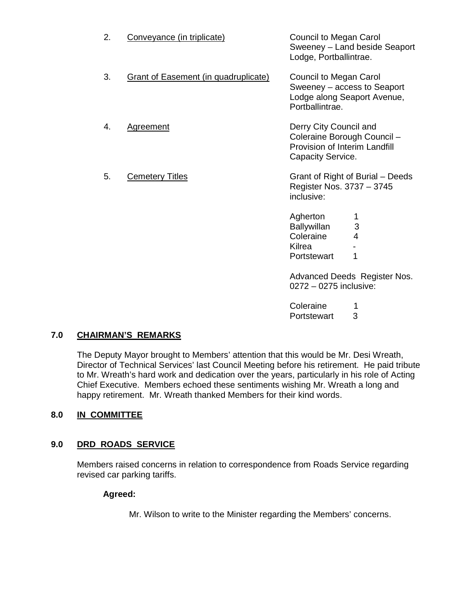| 2. | Conveyance (in triplicate)                  | Council to Megan Carol<br>Sweeney - Land beside Seaport<br>Lodge, Portballintrae.                           |
|----|---------------------------------------------|-------------------------------------------------------------------------------------------------------------|
| 3. | <b>Grant of Easement (in quadruplicate)</b> | Council to Megan Carol<br>Sweeney – access to Seaport<br>Lodge along Seaport Avenue,<br>Portballintrae.     |
| 4. | <b>Agreement</b>                            | Derry City Council and<br>Coleraine Borough Council -<br>Provision of Interim Landfill<br>Capacity Service. |
| 5. | <b>Cemetery Titles</b>                      | Grant of Right of Burial – Deeds<br>Register Nos. 3737 - 3745<br>inclusive:                                 |
|    |                                             | Agherton<br>1<br><b>Ballywillan</b><br>3<br>Coleraine<br>4<br>Kilrea<br>Portstewart<br>1                    |

Advanced Deeds Register Nos. 0272 – 0275 inclusive:

| Coleraine   | 1 |
|-------------|---|
| Portstewart | 3 |

## **7.0 CHAIRMAN'S REMARKS**

The Deputy Mayor brought to Members' attention that this would be Mr. Desi Wreath, Director of Technical Services' last Council Meeting before his retirement. He paid tribute to Mr. Wreath's hard work and dedication over the years, particularly in his role of Acting Chief Executive. Members echoed these sentiments wishing Mr. Wreath a long and happy retirement. Mr. Wreath thanked Members for their kind words.

## **8.0 IN COMMITTEE**

## **9.0 DRD ROADS SERVICE**

Members raised concerns in relation to correspondence from Roads Service regarding revised car parking tariffs.

### **Agreed:**

Mr. Wilson to write to the Minister regarding the Members' concerns.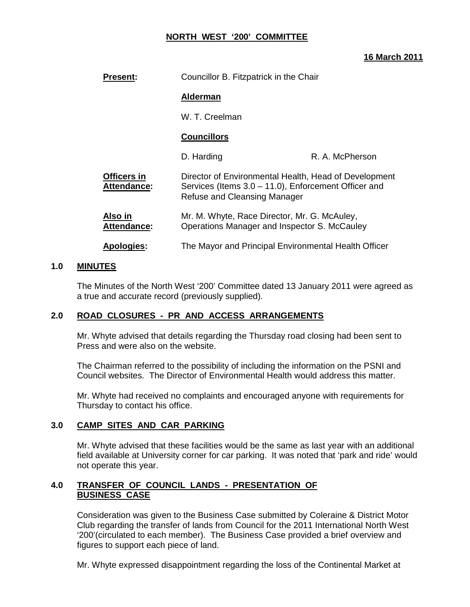## **NORTH WEST '200' COMMITTEE**

### **16 March 2011**

| <b>Present:</b>                   | Councillor B. Fitzpatrick in the Chair                                                                                                                  |                 |
|-----------------------------------|---------------------------------------------------------------------------------------------------------------------------------------------------------|-----------------|
|                                   | <b>Alderman</b>                                                                                                                                         |                 |
|                                   | W. T. Creelman                                                                                                                                          |                 |
|                                   | <b>Councillors</b>                                                                                                                                      |                 |
|                                   | D. Harding                                                                                                                                              | R. A. McPherson |
| Officers in<br><b>Attendance:</b> | Director of Environmental Health, Head of Development<br>Services (Items $3.0 - 11.0$ ), Enforcement Officer and<br><b>Refuse and Cleansing Manager</b> |                 |
| Also in<br><b>Attendance:</b>     | Mr. M. Whyte, Race Director, Mr. G. McAuley,<br>Operations Manager and Inspector S. McCauley                                                            |                 |
| <b>Apologies:</b>                 | The Mayor and Principal Environmental Health Officer                                                                                                    |                 |

### **1.0 MINUTES**

 The Minutes of the North West '200' Committee dated 13 January 2011 were agreed as a true and accurate record (previously supplied).

### **2.0 ROAD CLOSURES - PR AND ACCESS ARRANGEMENTS**

 Mr. Whyte advised that details regarding the Thursday road closing had been sent to Press and were also on the website.

 The Chairman referred to the possibility of including the information on the PSNI and Council websites. The Director of Environmental Health would address this matter.

 Mr. Whyte had received no complaints and encouraged anyone with requirements for Thursday to contact his office.

### **3.0 CAMP SITES AND CAR PARKING**

 Mr. Whyte advised that these facilities would be the same as last year with an additional field available at University corner for car parking. It was noted that 'park and ride' would not operate this year.

## **4.0 TRANSFER OF COUNCIL LANDS - PRESENTATION OF BUSINESS CASE**

Consideration was given to the Business Case submitted by Coleraine & District Motor Club regarding the transfer of lands from Council for the 2011 International North West '200'(circulated to each member). The Business Case provided a brief overview and figures to support each piece of land.

Mr. Whyte expressed disappointment regarding the loss of the Continental Market at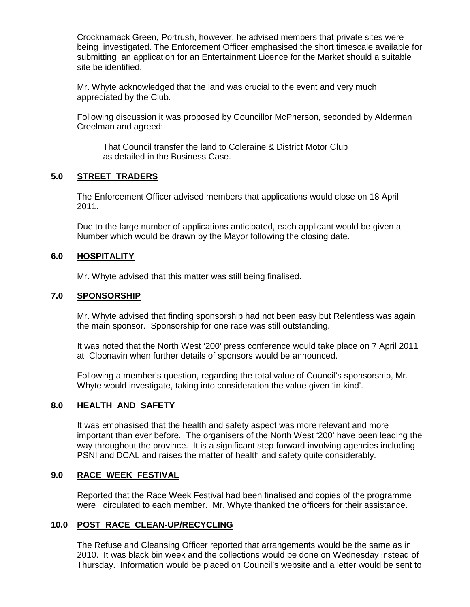Crocknamack Green, Portrush, however, he advised members that private sites were being investigated. The Enforcement Officer emphasised the short timescale available for submitting an application for an Entertainment Licence for the Market should a suitable site be identified.

 Mr. Whyte acknowledged that the land was crucial to the event and very much appreciated by the Club.

 Following discussion it was proposed by Councillor McPherson, seconded by Alderman Creelman and agreed:

 That Council transfer the land to Coleraine & District Motor Club as detailed in the Business Case.

## **5.0 STREET TRADERS**

 The Enforcement Officer advised members that applications would close on 18 April 2011.

 Due to the large number of applications anticipated, each applicant would be given a Number which would be drawn by the Mayor following the closing date.

## **6.0 HOSPITALITY**

Mr. Whyte advised that this matter was still being finalised.

### **7.0 SPONSORSHIP**

 Mr. Whyte advised that finding sponsorship had not been easy but Relentless was again the main sponsor. Sponsorship for one race was still outstanding.

 It was noted that the North West '200' press conference would take place on 7 April 2011 at Cloonavin when further details of sponsors would be announced.

 Following a member's question, regarding the total value of Council's sponsorship, Mr. Whyte would investigate, taking into consideration the value given 'in kind'.

### **8.0 HEALTH AND SAFETY**

 It was emphasised that the health and safety aspect was more relevant and more important than ever before. The organisers of the North West '200' have been leading the way throughout the province. It is a significant step forward involving agencies including PSNI and DCAL and raises the matter of health and safety quite considerably.

### **9.0 RACE WEEK FESTIVAL**

 Reported that the Race Week Festival had been finalised and copies of the programme were circulated to each member. Mr. Whyte thanked the officers for their assistance.

### **10.0 POST RACE CLEAN-UP/RECYCLING**

 The Refuse and Cleansing Officer reported that arrangements would be the same as in 2010. It was black bin week and the collections would be done on Wednesday instead of Thursday. Information would be placed on Council's website and a letter would be sent to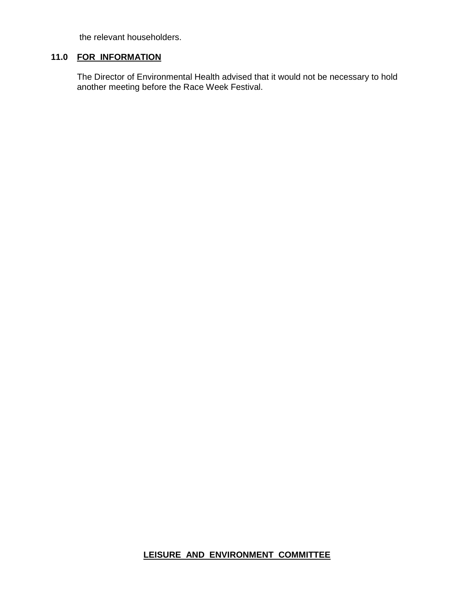the relevant householders.

# **11.0 FOR INFORMATION**

 The Director of Environmental Health advised that it would not be necessary to hold another meeting before the Race Week Festival.

# **LEISURE AND ENVIRONMENT COMMITTEE**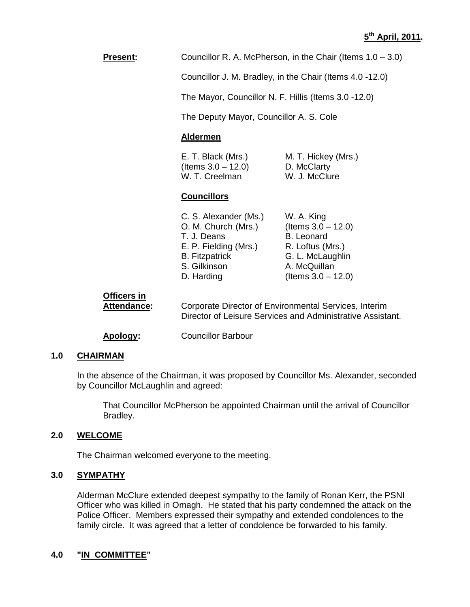**Present:** Councillor R. A. McPherson, in the Chair (Items 1.0 – 3.0)

Councillor J. M. Bradley, in the Chair (Items 4.0 -12.0)

The Mayor, Councillor N. F. Hillis (Items 3.0 -12.0)

The Deputy Mayor, Councillor A. S. Cole

#### **Aldermen**

| E. T. Black (Mrs.)    | M. T. Hickey (Mrs.) |
|-----------------------|---------------------|
| (Items $3.0 - 12.0$ ) | D. McClarty         |
| W. T. Creelman        | W. J. McClure       |

#### **Councillors**

| C. S. Alexander (Ms.) | W. A. King            |
|-----------------------|-----------------------|
| O. M. Church (Mrs.)   | (Items $3.0 - 12.0$ ) |
| T. J. Deans           | <b>B.</b> Leonard     |
| E. P. Fielding (Mrs.) | R. Loftus (Mrs.)      |
| <b>B.</b> Fitzpatrick | G. L. McLaughlin      |
| S. Gilkinson          | A. McQuillan          |
| D. Harding            | (Items $3.0 - 12.0$ ) |
|                       |                       |

| Officers in |                                                                                                                     |
|-------------|---------------------------------------------------------------------------------------------------------------------|
| Attendance: | Corporate Director of Environmental Services, Interim<br>Director of Leisure Services and Administrative Assistant. |
|             |                                                                                                                     |

**Apology:** Councillor Barbour

## **1.0 CHAIRMAN**

In the absence of the Chairman, it was proposed by Councillor Ms. Alexander, seconded by Councillor McLaughlin and agreed:

That Councillor McPherson be appointed Chairman until the arrival of Councillor Bradley.

### **2.0 WELCOME**

The Chairman welcomed everyone to the meeting.

### **3.0 SYMPATHY**

Alderman McClure extended deepest sympathy to the family of Ronan Kerr, the PSNI Officer who was killed in Omagh. He stated that his party condemned the attack on the Police Officer. Members expressed their sympathy and extended condolences to the family circle. It was agreed that a letter of condolence be forwarded to his family.

#### **4.0 "IN COMMITTEE"**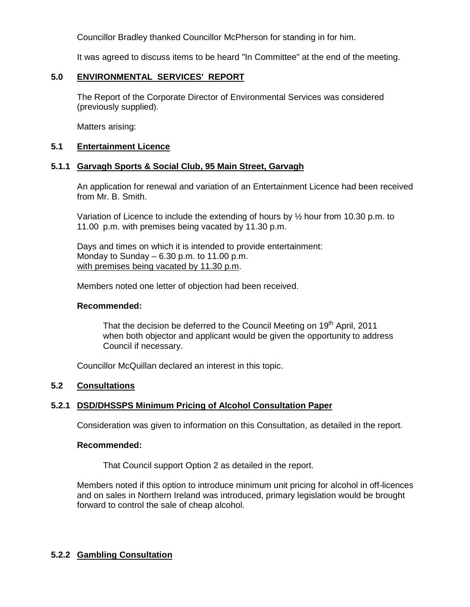Councillor Bradley thanked Councillor McPherson for standing in for him.

It was agreed to discuss items to be heard "In Committee" at the end of the meeting.

### **5.0 ENVIRONMENTAL SERVICES' REPORT**

 The Report of the Corporate Director of Environmental Services was considered (previously supplied).

Matters arising:

### **5.1 Entertainment Licence**

### **5.1.1 Garvagh Sports & Social Club, 95 Main Street, Garvagh**

 An application for renewal and variation of an Entertainment Licence had been received from Mr. B. Smith.

Variation of Licence to include the extending of hours by  $\frac{1}{2}$  hour from 10.30 p.m. to 11.00 p.m. with premises being vacated by 11.30 p.m.

 Days and times on which it is intended to provide entertainment: Monday to Sunday  $-6.30$  p.m. to 11.00 p.m. with premises being vacated by 11.30 p.m.

Members noted one letter of objection had been received.

#### **Recommended:**

That the decision be deferred to the Council Meeting on 19<sup>th</sup> April, 2011 when both objector and applicant would be given the opportunity to address Council if necessary.

Councillor McQuillan declared an interest in this topic.

### **5.2 Consultations**

### **5.2.1 DSD/DHSSPS Minimum Pricing of Alcohol Consultation Paper**

Consideration was given to information on this Consultation, as detailed in the report.

#### **Recommended:**

That Council support Option 2 as detailed in the report.

 Members noted if this option to introduce minimum unit pricing for alcohol in off-licences and on sales in Northern Ireland was introduced, primary legislation would be brought forward to control the sale of cheap alcohol.

### **5.2.2 Gambling Consultation**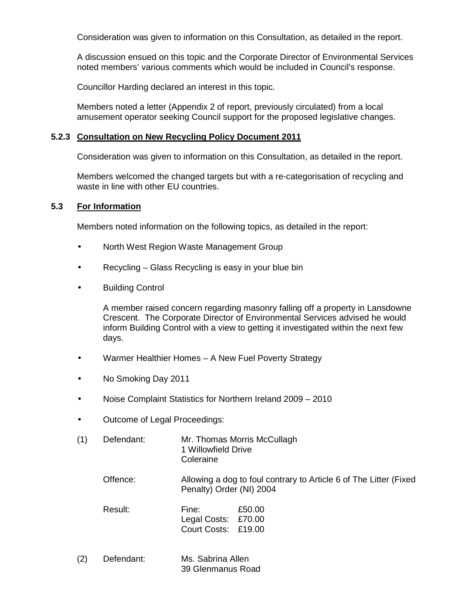Consideration was given to information on this Consultation, as detailed in the report.

 A discussion ensued on this topic and the Corporate Director of Environmental Services noted members' various comments which would be included in Council's response.

Councillor Harding declared an interest in this topic.

 Members noted a letter (Appendix 2 of report, previously circulated) from a local amusement operator seeking Council support for the proposed legislative changes.

### **5.2.3 Consultation on New Recycling Policy Document 2011**

Consideration was given to information on this Consultation, as detailed in the report.

 Members welcomed the changed targets but with a re-categorisation of recycling and waste in line with other EU countries.

## **5.3 For Information**

Members noted information on the following topics, as detailed in the report:

- North West Region Waste Management Group
- Recycling Glass Recycling is easy in your blue bin
- Building Control

 A member raised concern regarding masonry falling off a property in Lansdowne Crescent. The Corporate Director of Environmental Services advised he would inform Building Control with a view to getting it investigated within the next few days.

- Warmer Healthier Homes A New Fuel Poverty Strategy
- No Smoking Day 2011
- Noise Complaint Statistics for Northern Ireland 2009 2010
- Outcome of Legal Proceedings:

| (1) | Defendant: | Mr. Thomas Morris McCullagh<br>1 Willowfield Drive<br>Coleraine |                                                                   |
|-----|------------|-----------------------------------------------------------------|-------------------------------------------------------------------|
|     | Offence:   | Penalty) Order (NI) 2004                                        | Allowing a dog to foul contrary to Article 6 of The Litter (Fixed |
|     | Result:    | Fine:<br>Legal Costs: £70.00<br>Court Costs: £19.00             | £50.00                                                            |

(2) Defendant: Ms. Sabrina Allen 39 Glenmanus Road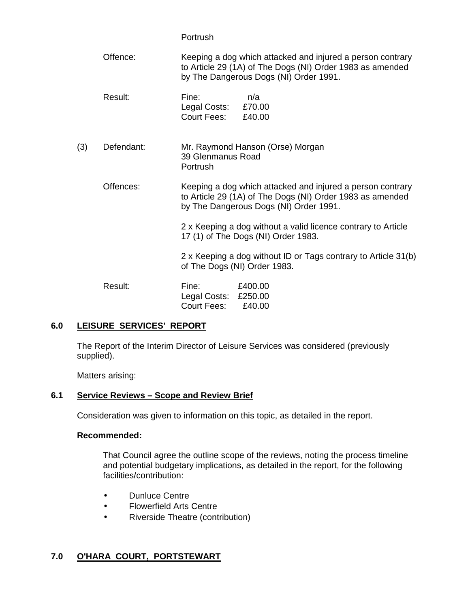|     |            | Portrush                                                                                                                                                          |
|-----|------------|-------------------------------------------------------------------------------------------------------------------------------------------------------------------|
|     | Offence:   | Keeping a dog which attacked and injured a person contrary<br>to Article 29 (1A) of The Dogs (NI) Order 1983 as amended<br>by The Dangerous Dogs (NI) Order 1991. |
|     | Result:    | Fine:<br>n/a<br>£70.00<br>Legal Costs:<br>Court Fees:<br>£40.00                                                                                                   |
| (3) | Defendant: | Mr. Raymond Hanson (Orse) Morgan<br>39 Glenmanus Road<br>Portrush                                                                                                 |
|     | Offences:  | Keeping a dog which attacked and injured a person contrary<br>to Article 29 (1A) of The Dogs (NI) Order 1983 as amended<br>by The Dangerous Dogs (NI) Order 1991. |
|     |            | 2 x Keeping a dog without a valid licence contrary to Article<br>17 (1) of The Dogs (NI) Order 1983.                                                              |
|     |            | 2 x Keeping a dog without ID or Tags contrary to Article 31(b)<br>of The Dogs (NI) Order 1983.                                                                    |
|     | Result:    | Fine: £400.00<br>Legal Costs: £250.00<br>Court Fees:<br>£40.00                                                                                                    |

### **6.0 LEISURE SERVICES' REPORT**

 The Report of the Interim Director of Leisure Services was considered (previously supplied).

Matters arising:

### **6.1 Service Reviews – Scope and Review Brief**

Consideration was given to information on this topic, as detailed in the report.

#### **Recommended:**

 That Council agree the outline scope of the reviews, noting the process timeline and potential budgetary implications, as detailed in the report, for the following facilities/contribution:

- Dunluce Centre
- Flowerfield Arts Centre
- Riverside Theatre (contribution)

### **7.0 O'HARA COURT, PORTSTEWART**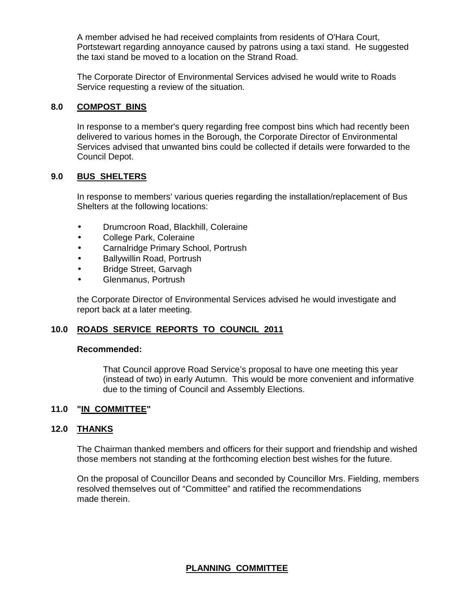A member advised he had received complaints from residents of O'Hara Court, Portstewart regarding annoyance caused by patrons using a taxi stand. He suggested the taxi stand be moved to a location on the Strand Road.

 The Corporate Director of Environmental Services advised he would write to Roads Service requesting a review of the situation.

#### **8.0 COMPOST BINS**

In response to a member's query regarding free compost bins which had recently been delivered to various homes in the Borough, the Corporate Director of Environmental Services advised that unwanted bins could be collected if details were forwarded to the Council Depot.

#### **9.0 BUS SHELTERS**

 In response to members' various queries regarding the installation/replacement of Bus Shelters at the following locations:

- Drumcroon Road, Blackhill, Coleraine
- College Park, Coleraine
- Carnalridge Primary School, Portrush
- Ballywillin Road, Portrush
- Bridge Street, Garvagh
- Glenmanus, Portrush

 the Corporate Director of Environmental Services advised he would investigate and report back at a later meeting.

### **10.0 ROADS SERVICE REPORTS TO COUNCIL 2011**

#### **Recommended:**

 That Council approve Road Service's proposal to have one meeting this year (instead of two) in early Autumn. This would be more convenient and informative due to the timing of Council and Assembly Elections.

### **11.0 "IN COMMITTEE"**

## **12.0 THANKS**

The Chairman thanked members and officers for their support and friendship and wished those members not standing at the forthcoming election best wishes for the future.

On the proposal of Councillor Deans and seconded by Councillor Mrs. Fielding, members resolved themselves out of "Committee" and ratified the recommendations made therein.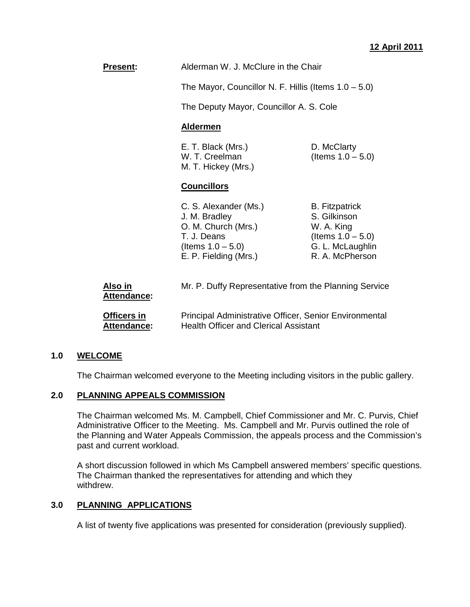**Present:** Alderman W. J. McClure in the Chair

The Mayor, Councillor N. F. Hillis (Items 1.0 – 5.0)

The Deputy Mayor, Councillor A. S. Cole

#### **Aldermen**

E. T. Black (Mrs.) D. McClarty W. T. Creelman  $(Items 1.0 - 5.0)$ M. T. Hickey (Mrs.)

### **Councillors**

C. S. Alexander (Ms.) B. Fitzpatrick J. M. Bradley S. Gilkinson O. M. Church (Mrs.) W. A. King T. J. Deans (Items  $1.0 - 5.0$ )  $($ ltems  $1.0 - 5.0$ ) G. L. McLaughlin E. P. Fielding (Mrs.) R. A. McPherson

| Also in<br>Attendance: | Mr. P. Duffy Representative from the Planning Service  |  |
|------------------------|--------------------------------------------------------|--|
| Officers in            | Principal Administrative Officer, Senior Environmental |  |
| Attendance:            | <b>Health Officer and Clerical Assistant</b>           |  |

### **1.0 WELCOME**

The Chairman welcomed everyone to the Meeting including visitors in the public gallery.

#### **2.0 PLANNING APPEALS COMMISSION**

 The Chairman welcomed Ms. M. Campbell, Chief Commissioner and Mr. C. Purvis, Chief Administrative Officer to the Meeting. Ms. Campbell and Mr. Purvis outlined the role of the Planning and Water Appeals Commission, the appeals process and the Commission's past and current workload.

A short discussion followed in which Ms Campbell answered members' specific questions. The Chairman thanked the representatives for attending and which they withdrew.

### **3.0 PLANNING APPLICATIONS**

A list of twenty five applications was presented for consideration (previously supplied).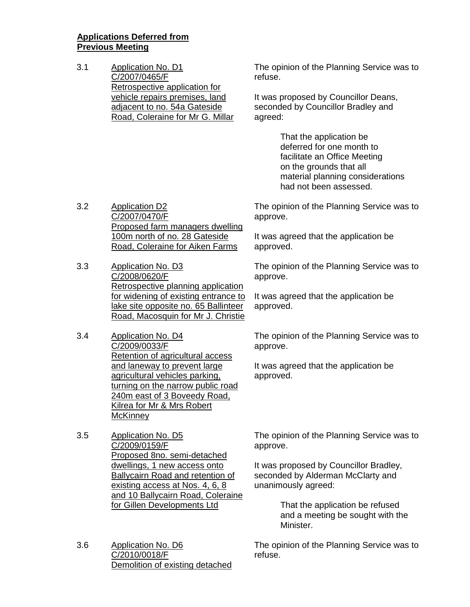### **Applications Deferred from Previous Meeting**

3.1 Application No. D1 C/2007/0465/F Retrospective application for vehicle repairs premises, land adjacent to no. 54a Gateside Road, Coleraine for Mr G. Millar The opinion of the Planning Service was to refuse.

It was proposed by Councillor Deans, seconded by Councillor Bradley and agreed:

> That the application be deferred for one month to facilitate an Office Meeting on the grounds that all material planning considerations had not been assessed.

3.2 Application D2 C/2007/0470/F Proposed farm managers dwelling 100m north of no. 28 Gateside Road, Coleraine for Aiken Farms

- 3.3 Application No. D3 C/2008/0620/F Retrospective planning application for widening of existing entrance to lake site opposite no. 65 Ballinteer Road, Macosquin for Mr J. Christie
- 3.4 Application No. D4 C/2009/0033/F Retention of agricultural access and laneway to prevent large agricultural vehicles parking, turning on the narrow public road 240m east of 3 Boveedy Road, Kilrea for Mr & Mrs Robert **McKinney**
- 3.5 Application No. D5 C/2009/0159/F Proposed 8no. semi-detached dwellings, 1 new access onto Ballycairn Road and retention of existing access at Nos. 4, 6, 8 and 10 Ballycairn Road, Coleraine for Gillen Developments Ltd
- 3.6 Application No. D6 C/2010/0018/F Demolition of existing detached

The opinion of the Planning Service was to approve.

It was agreed that the application be approved.

The opinion of the Planning Service was to approve.

It was agreed that the application be approved.

The opinion of the Planning Service was to approve.

It was agreed that the application be approved.

The opinion of the Planning Service was to approve.

It was proposed by Councillor Bradley, seconded by Alderman McClarty and unanimously agreed:

> That the application be refused and a meeting be sought with the Minister.

The opinion of the Planning Service was to refuse.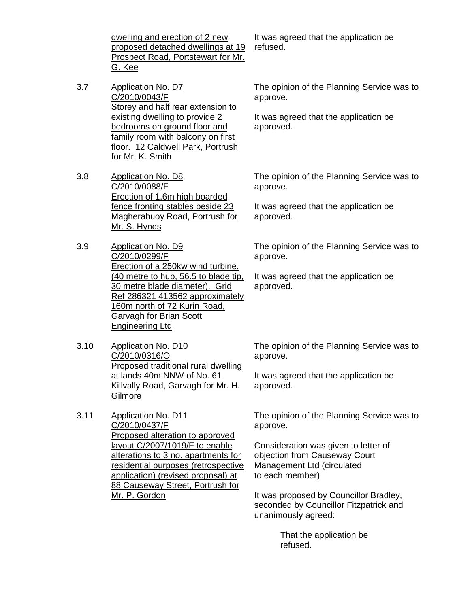dwelling and erection of 2 new proposed detached dwellings at 19 Prospect Road, Portstewart for Mr. G. Kee

- 3.7 Application No. D7 C/2010/0043/F Storey and half rear extension to existing dwelling to provide 2 bedrooms on ground floor and family room with balcony on first floor. 12 Caldwell Park, Portrush for Mr. K. Smith
- 3.8 Application No. D8 C/2010/0088/F Erection of 1.6m high boarded fence fronting stables beside 23 Magherabuoy Road, Portrush for Mr. S. Hynds
- 3.9 Application No. D9 C/2010/0299/F Erection of a 250kw wind turbine. (40 metre to hub, 56.5 to blade tip, 30 metre blade diameter). Grid Ref 286321 413562 approximately 160m north of 72 Kurin Road, Garvagh for Brian Scott Engineering Ltd
- 3.10 Application No. D10 C/2010/0316/O Proposed traditional rural dwelling at lands 40m NNW of No. 61 Killvally Road, Garvagh for Mr. H. Gilmore
- 3.11 Application No. D11 C/2010/0437/F Proposed alteration to approved layout C/2007/1019/F to enable alterations to 3 no. apartments for residential purposes (retrospective application) (revised proposal) at 88 Causeway Street, Portrush for Mr. P. Gordon

It was agreed that the application be refused.

The opinion of the Planning Service was to approve.

It was agreed that the application be approved.

The opinion of the Planning Service was to approve.

It was agreed that the application be approved.

The opinion of the Planning Service was to approve.

It was agreed that the application be approved.

The opinion of the Planning Service was to approve.

It was agreed that the application be approved.

The opinion of the Planning Service was to approve.

Consideration was given to letter of objection from Causeway Court Management Ltd (circulated to each member)

It was proposed by Councillor Bradley, seconded by Councillor Fitzpatrick and unanimously agreed:

> That the application be refused.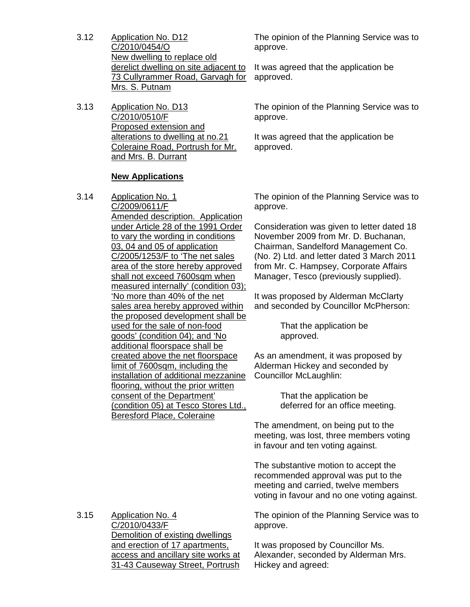- 3.12 Application No. D12 C/2010/0454/O New dwelling to replace old derelict dwelling on site adjacent to 73 Cullyrammer Road, Garvagh for Mrs. S. Putnam
- 3.13 Application No. D13 C/2010/0510/F Proposed extension and alterations to dwelling at no.21 Coleraine Road, Portrush for Mr. and Mrs. B. Durrant

#### **New Applications**

3.14 Application No. 1 C/2009/0611/F Amended description. Application under Article 28 of the 1991 Order to vary the wording in conditions 03, 04 and 05 of application C/2005/1253/F to 'The net sales area of the store hereby approved shall not exceed 7600sqm when measured internally' (condition 03); 'No more than 40% of the net sales area hereby approved within the proposed development shall be used for the sale of non-food goods' (condition 04); and 'No additional floorspace shall be created above the net floorspace limit of 7600sqm, including the installation of additional mezzanine flooring, without the prior written consent of the Department' (condition 05) at Tesco Stores Ltd., Beresford Place, Coleraine

The opinion of the Planning Service was to approve.

It was agreed that the application be approved.

The opinion of the Planning Service was to approve.

It was agreed that the application be approved.

The opinion of the Planning Service was to approve.

Consideration was given to letter dated 18 November 2009 from Mr. D. Buchanan, Chairman, Sandelford Management Co. (No. 2) Ltd. and letter dated 3 March 2011 from Mr. C. Hampsey, Corporate Affairs Manager, Tesco (previously supplied).

It was proposed by Alderman McClarty and seconded by Councillor McPherson:

> That the application be approved.

As an amendment, it was proposed by Alderman Hickey and seconded by Councillor McLaughlin:

> That the application be deferred for an office meeting.

The amendment, on being put to the meeting, was lost, three members voting in favour and ten voting against.

The substantive motion to accept the recommended approval was put to the meeting and carried, twelve members voting in favour and no one voting against.

The opinion of the Planning Service was to approve.

It was proposed by Councillor Ms. Alexander, seconded by Alderman Mrs. Hickey and agreed:

3.15 Application No. 4 C/2010/0433/F Demolition of existing dwellings and erection of 17 apartments, access and ancillary site works at

31-43 Causeway Street, Portrush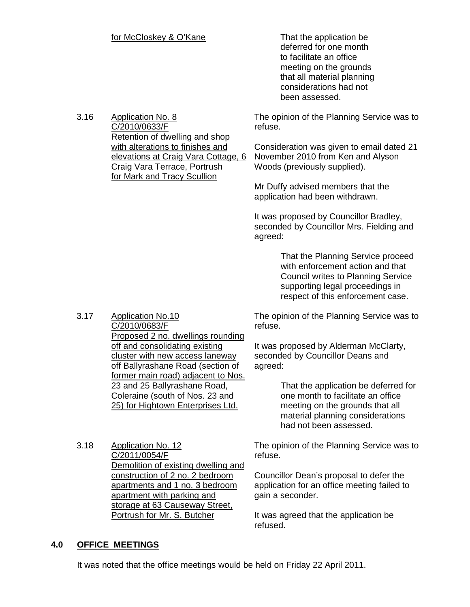### for McCloskey & O'Kane That the application be

 deferred for one month to facilitate an office meeting on the grounds that all material planning considerations had not been assessed.

3.16 Application No. 8 C/2010/0633/F Retention of dwelling and shop with alterations to finishes and elevations at Craig Vara Cottage, 6 Craig Vara Terrace, Portrush for Mark and Tracy Scullion

The opinion of the Planning Service was to refuse.

Consideration was given to email dated 21 November 2010 from Ken and Alyson Woods (previously supplied).

Mr Duffy advised members that the application had been withdrawn.

It was proposed by Councillor Bradley, seconded by Councillor Mrs. Fielding and agreed:

> That the Planning Service proceed with enforcement action and that Council writes to Planning Service supporting legal proceedings in respect of this enforcement case.

The opinion of the Planning Service was to refuse.

It was proposed by Alderman McClarty, seconded by Councillor Deans and agreed:

> That the application be deferred for one month to facilitate an office meeting on the grounds that all material planning considerations had not been assessed.

The opinion of the Planning Service was to refuse.

Councillor Dean's proposal to defer the application for an office meeting failed to gain a seconder.

It was agreed that the application be refused.

#### 3.17 Application No.10 C/2010/0683/F Proposed 2 no. dwellings rounding off and consolidating existing cluster with new access laneway off Ballyrashane Road (section of former main road) adjacent to Nos. 23 and 25 Ballyrashane Road, Coleraine (south of Nos. 23 and 25) for Hightown Enterprises Ltd.

3.18 Application No. 12 C/2011/0054/F Demolition of existing dwelling and construction of 2 no. 2 bedroom apartments and 1 no. 3 bedroom apartment with parking and storage at 63 Causeway Street, Portrush for Mr. S. Butcher

### **4.0 OFFICE MEETINGS**

It was noted that the office meetings would be held on Friday 22 April 2011.